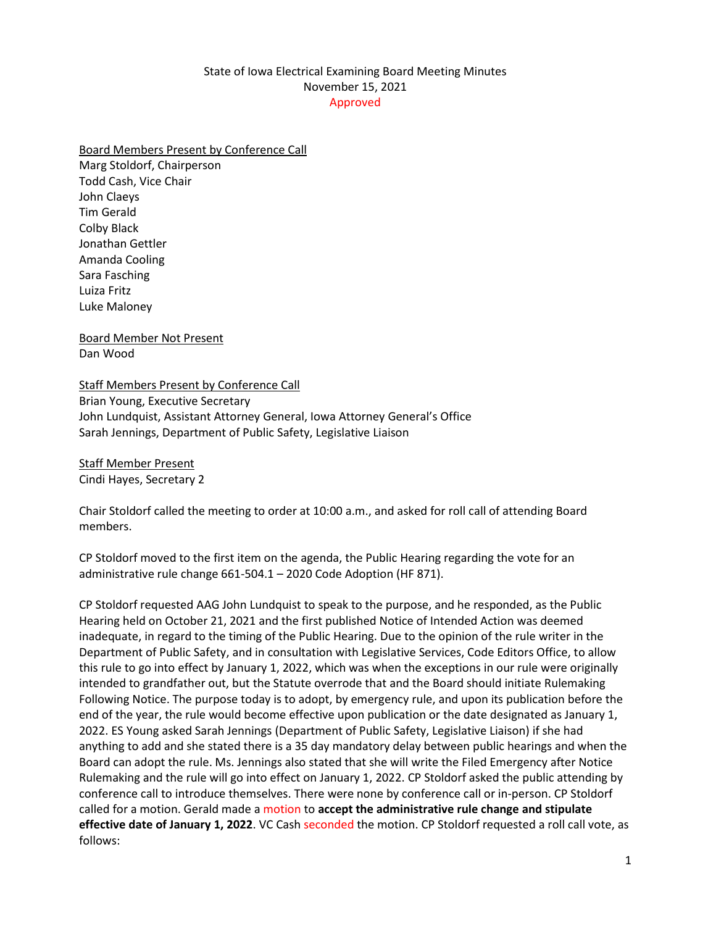## State of Iowa Electrical Examining Board Meeting Minutes November 15, 2021 Approved

## Board Members Present by Conference Call

Marg Stoldorf, Chairperson Todd Cash, Vice Chair John Claeys Tim Gerald Colby Black Jonathan Gettler Amanda Cooling Sara Fasching Luiza Fritz Luke Maloney

Board Member Not Present Dan Wood

## Staff Members Present by Conference Call Brian Young, Executive Secretary John Lundquist, Assistant Attorney General, Iowa Attorney General's Office Sarah Jennings, Department of Public Safety, Legislative Liaison

Staff Member Present Cindi Hayes, Secretary 2

Chair Stoldorf called the meeting to order at 10:00 a.m., and asked for roll call of attending Board members.

CP Stoldorf moved to the first item on the agenda, the Public Hearing regarding the vote for an administrative rule change 661-504.1 – 2020 Code Adoption (HF 871).

CP Stoldorf requested AAG John Lundquist to speak to the purpose, and he responded, as the Public Hearing held on October 21, 2021 and the first published Notice of Intended Action was deemed inadequate, in regard to the timing of the Public Hearing. Due to the opinion of the rule writer in the Department of Public Safety, and in consultation with Legislative Services, Code Editors Office, to allow this rule to go into effect by January 1, 2022, which was when the exceptions in our rule were originally intended to grandfather out, but the Statute overrode that and the Board should initiate Rulemaking Following Notice. The purpose today is to adopt, by emergency rule, and upon its publication before the end of the year, the rule would become effective upon publication or the date designated as January 1, 2022. ES Young asked Sarah Jennings (Department of Public Safety, Legislative Liaison) if she had anything to add and she stated there is a 35 day mandatory delay between public hearings and when the Board can adopt the rule. Ms. Jennings also stated that she will write the Filed Emergency after Notice Rulemaking and the rule will go into effect on January 1, 2022. CP Stoldorf asked the public attending by conference call to introduce themselves. There were none by conference call or in-person. CP Stoldorf called for a motion. Gerald made a motion to **accept the administrative rule change and stipulate effective date of January 1, 2022**. VC Cash seconded the motion. CP Stoldorf requested a roll call vote, as follows: